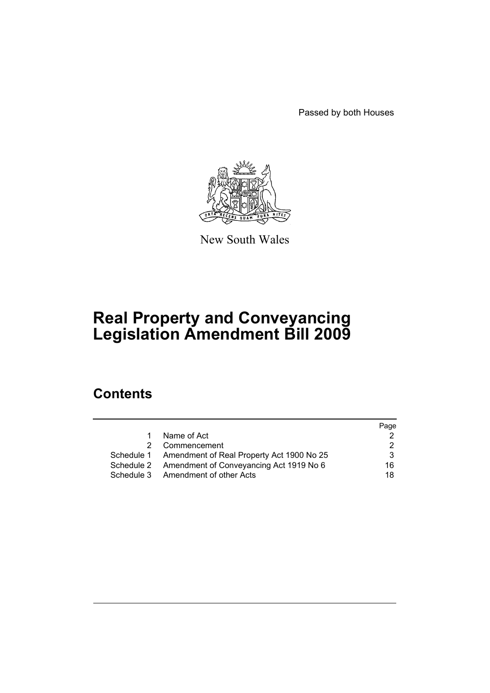Passed by both Houses



New South Wales

# **Real Property and Conveyancing Legislation Amendment Bill 2009**

# **Contents**

|           |                                                      | Page |
|-----------|------------------------------------------------------|------|
| $1 \quad$ | Name of Act                                          |      |
|           | Commencement                                         | 2    |
|           | Schedule 1 Amendment of Real Property Act 1900 No 25 | 3    |
|           | Schedule 2 Amendment of Conveyancing Act 1919 No 6   | 16.  |
|           | Schedule 3 Amendment of other Acts                   | 18   |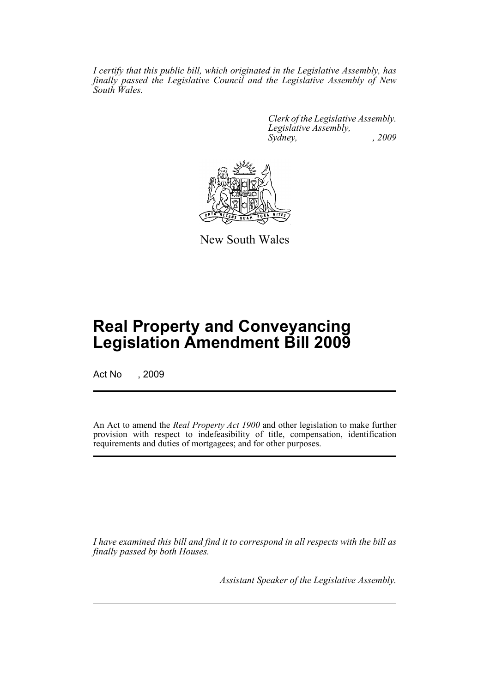*I certify that this public bill, which originated in the Legislative Assembly, has finally passed the Legislative Council and the Legislative Assembly of New South Wales.*

> *Clerk of the Legislative Assembly. Legislative Assembly, Sydney, , 2009*



New South Wales

# **Real Property and Conveyancing Legislation Amendment Bill 2009**

Act No , 2009

An Act to amend the *Real Property Act 1900* and other legislation to make further provision with respect to indefeasibility of title, compensation, identification requirements and duties of mortgagees; and for other purposes.

*I have examined this bill and find it to correspond in all respects with the bill as finally passed by both Houses.*

*Assistant Speaker of the Legislative Assembly.*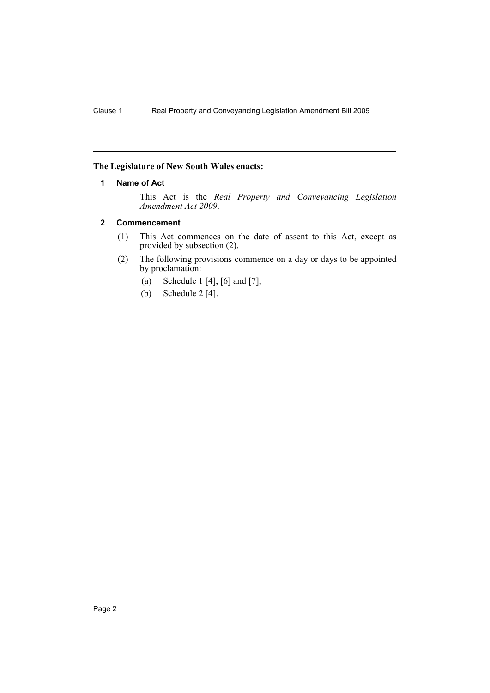# <span id="page-2-0"></span>**The Legislature of New South Wales enacts:**

## **1 Name of Act**

This Act is the *Real Property and Conveyancing Legislation Amendment Act 2009*.

## <span id="page-2-1"></span>**2 Commencement**

- (1) This Act commences on the date of assent to this Act, except as provided by subsection (2).
- (2) The following provisions commence on a day or days to be appointed by proclamation:
	- (a) Schedule 1 [4], [6] and [7],
	- (b) Schedule 2 [4].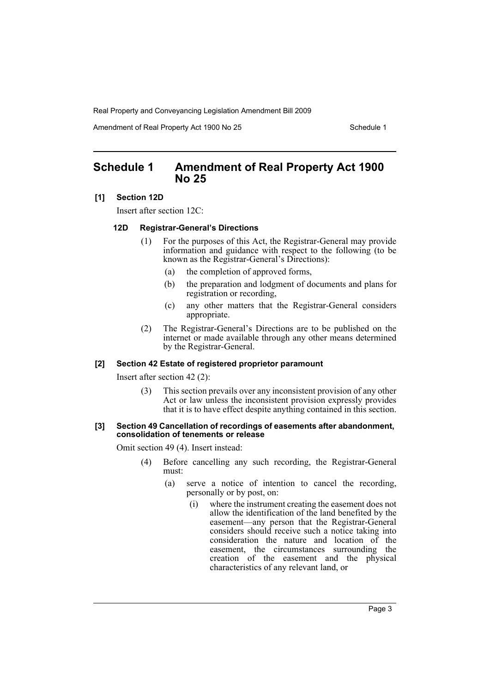Amendment of Real Property Act 1900 No 25 Schedule 1

# <span id="page-3-0"></span>**Schedule 1 Amendment of Real Property Act 1900 No 25**

#### **[1] Section 12D**

Insert after section 12C:

#### **12D Registrar-General's Directions**

- (1) For the purposes of this Act, the Registrar-General may provide information and guidance with respect to the following (to be known as the Registrar-General's Directions):
	- (a) the completion of approved forms,
	- (b) the preparation and lodgment of documents and plans for registration or recording,
	- (c) any other matters that the Registrar-General considers appropriate.
- (2) The Registrar-General's Directions are to be published on the internet or made available through any other means determined by the Registrar-General.

### **[2] Section 42 Estate of registered proprietor paramount**

Insert after section 42 (2):

(3) This section prevails over any inconsistent provision of any other Act or law unless the inconsistent provision expressly provides that it is to have effect despite anything contained in this section.

#### **[3] Section 49 Cancellation of recordings of easements after abandonment, consolidation of tenements or release**

Omit section 49 (4). Insert instead:

- (4) Before cancelling any such recording, the Registrar-General must:
	- (a) serve a notice of intention to cancel the recording, personally or by post, on:
		- (i) where the instrument creating the easement does not allow the identification of the land benefited by the easement—any person that the Registrar-General considers should receive such a notice taking into consideration the nature and location of the easement, the circumstances surrounding the creation of the easement and the physical characteristics of any relevant land, or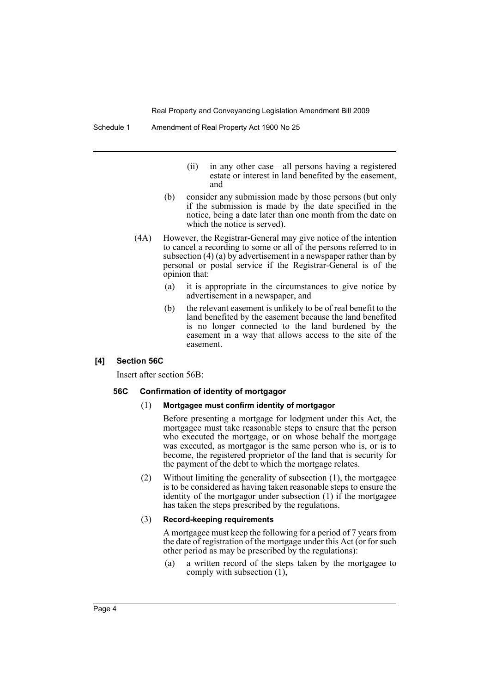Schedule 1 Amendment of Real Property Act 1900 No 25

- (ii) in any other case—all persons having a registered estate or interest in land benefited by the easement, and
- (b) consider any submission made by those persons (but only if the submission is made by the date specified in the notice, being a date later than one month from the date on which the notice is served).
- (4A) However, the Registrar-General may give notice of the intention to cancel a recording to some or all of the persons referred to in subsection (4) (a) by advertisement in a newspaper rather than by personal or postal service if the Registrar-General is of the opinion that:
	- (a) it is appropriate in the circumstances to give notice by advertisement in a newspaper, and
	- (b) the relevant easement is unlikely to be of real benefit to the land benefited by the easement because the land benefited is no longer connected to the land burdened by the easement in a way that allows access to the site of the easement.

#### **[4] Section 56C**

Insert after section 56B:

#### **56C Confirmation of identity of mortgagor**

#### (1) **Mortgagee must confirm identity of mortgagor**

Before presenting a mortgage for lodgment under this Act, the mortgagee must take reasonable steps to ensure that the person who executed the mortgage, or on whose behalf the mortgage was executed, as mortgagor is the same person who is, or is to become, the registered proprietor of the land that is security for the payment of the debt to which the mortgage relates.

(2) Without limiting the generality of subsection (1), the mortgagee is to be considered as having taken reasonable steps to ensure the identity of the mortgagor under subsection (1) if the mortgagee has taken the steps prescribed by the regulations.

#### (3) **Record-keeping requirements**

A mortgagee must keep the following for a period of 7 years from the date of registration of the mortgage under this Act (or for such other period as may be prescribed by the regulations):

(a) a written record of the steps taken by the mortgagee to comply with subsection (1),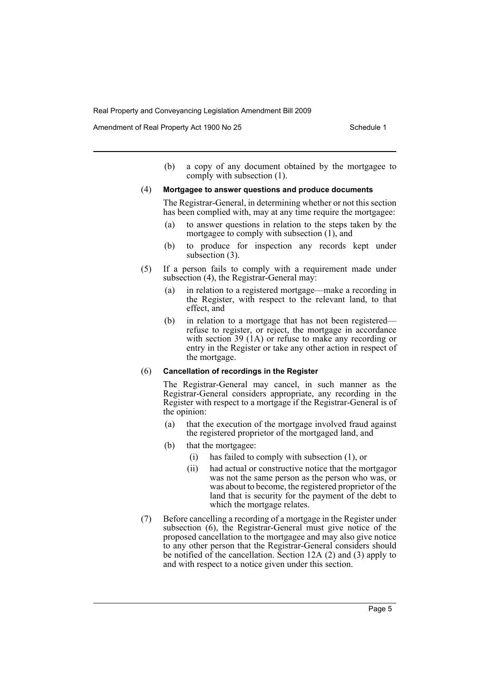Amendment of Real Property Act 1900 No 25 Schedule 1

(b) a copy of any document obtained by the mortgagee to comply with subsection (1).

#### (4) **Mortgagee to answer questions and produce documents**

The Registrar-General, in determining whether or not this section has been complied with, may at any time require the mortgagee:

- (a) to answer questions in relation to the steps taken by the mortgagee to comply with subsection (1), and
- (b) to produce for inspection any records kept under subsection (3).
- (5) If a person fails to comply with a requirement made under subsection (4), the Registrar-General may:
	- (a) in relation to a registered mortgage—make a recording in the Register, with respect to the relevant land, to that effect, and
	- (b) in relation to a mortgage that has not been registered refuse to register, or reject, the mortgage in accordance with section 39 (1A) or refuse to make any recording or entry in the Register or take any other action in respect of the mortgage.

#### (6) **Cancellation of recordings in the Register**

The Registrar-General may cancel, in such manner as the Registrar-General considers appropriate, any recording in the Register with respect to a mortgage if the Registrar-General is of the opinion:

- (a) that the execution of the mortgage involved fraud against the registered proprietor of the mortgaged land, and
- (b) that the mortgagee:
	- (i) has failed to comply with subsection (1), or
	- (ii) had actual or constructive notice that the mortgagor was not the same person as the person who was, or was about to become, the registered proprietor of the land that is security for the payment of the debt to which the mortgage relates.
- (7) Before cancelling a recording of a mortgage in the Register under subsection (6), the Registrar-General must give notice of the proposed cancellation to the mortgagee and may also give notice to any other person that the Registrar-General considers should be notified of the cancellation. Section 12A (2) and (3) apply to and with respect to a notice given under this section.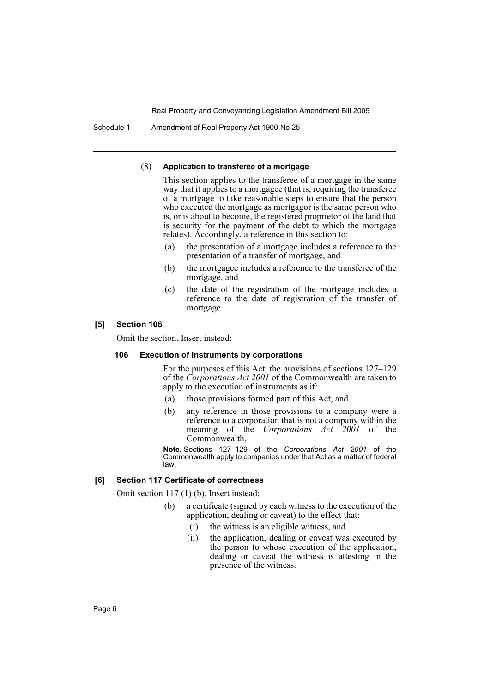Schedule 1 Amendment of Real Property Act 1900 No 25

#### (8) **Application to transferee of a mortgage**

This section applies to the transferee of a mortgage in the same way that it applies to a mortgagee (that is, requiring the transferee of a mortgage to take reasonable steps to ensure that the person who executed the mortgage as mortgagor is the same person who is, or is about to become, the registered proprietor of the land that is security for the payment of the debt to which the mortgage relates). Accordingly, a reference in this section to:

- (a) the presentation of a mortgage includes a reference to the presentation of a transfer of mortgage, and
- (b) the mortgagee includes a reference to the transferee of the mortgage, and
- (c) the date of the registration of the mortgage includes a reference to the date of registration of the transfer of mortgage.

#### **[5] Section 106**

Omit the section. Insert instead:

#### **106 Execution of instruments by corporations**

For the purposes of this Act, the provisions of sections 127–129 of the *Corporations Act 2001* of the Commonwealth are taken to apply to the execution of instruments as if:

- (a) those provisions formed part of this Act, and
- (b) any reference in those provisions to a company were a reference to a corporation that is not a company within the meaning of the *Corporations Act 2001* of the Commonwealth.

**Note.** Sections 127–129 of the *Corporations Act 2001* of the Commonwealth apply to companies under that Act as a matter of federal law.

#### **[6] Section 117 Certificate of correctness**

Omit section 117 (1) (b). Insert instead:

- (b) a certificate (signed by each witness to the execution of the application, dealing or caveat) to the effect that:
	- (i) the witness is an eligible witness, and
	- (ii) the application, dealing or caveat was executed by the person to whose execution of the application, dealing or caveat the witness is attesting in the presence of the witness.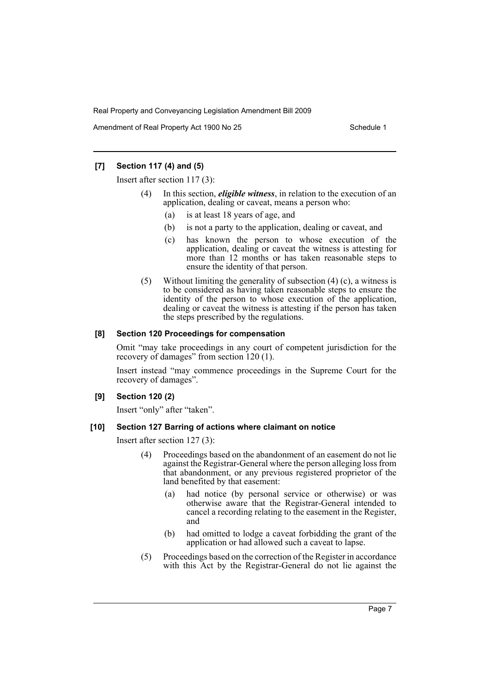Amendment of Real Property Act 1900 No 25 Schedule 1

# **[7] Section 117 (4) and (5)**

Insert after section 117 (3):

- In this section, *eligible witness*, in relation to the execution of an application, dealing or caveat, means a person who:
	- (a) is at least 18 years of age, and
	- (b) is not a party to the application, dealing or caveat, and
	- (c) has known the person to whose execution of the application, dealing or caveat the witness is attesting for more than 12 months or has taken reasonable steps to ensure the identity of that person.
- (5) Without limiting the generality of subsection (4) (c), a witness is to be considered as having taken reasonable steps to ensure the identity of the person to whose execution of the application, dealing or caveat the witness is attesting if the person has taken the steps prescribed by the regulations.

## **[8] Section 120 Proceedings for compensation**

Omit "may take proceedings in any court of competent jurisdiction for the recovery of damages" from section 120 (1).

Insert instead "may commence proceedings in the Supreme Court for the recovery of damages".

# **[9] Section 120 (2)**

Insert "only" after "taken".

# **[10] Section 127 Barring of actions where claimant on notice**

Insert after section 127 (3):

- (4) Proceedings based on the abandonment of an easement do not lie against the Registrar-General where the person alleging loss from that abandonment, or any previous registered proprietor of the land benefited by that easement:
	- (a) had notice (by personal service or otherwise) or was otherwise aware that the Registrar-General intended to cancel a recording relating to the easement in the Register, and
	- (b) had omitted to lodge a caveat forbidding the grant of the application or had allowed such a caveat to lapse.
- (5) Proceedings based on the correction of the Register in accordance with this Act by the Registrar-General do not lie against the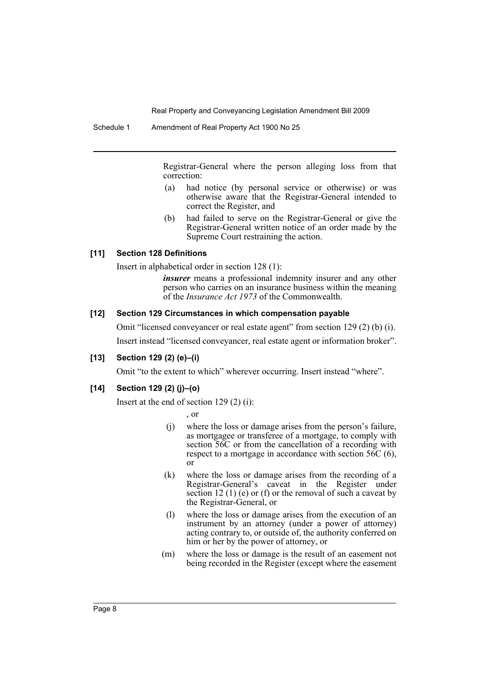Registrar-General where the person alleging loss from that correction:

- (a) had notice (by personal service or otherwise) or was otherwise aware that the Registrar-General intended to correct the Register, and
- (b) had failed to serve on the Registrar-General or give the Registrar-General written notice of an order made by the Supreme Court restraining the action.

#### **[11] Section 128 Definitions**

Insert in alphabetical order in section 128 (1):

*insurer* means a professional indemnity insurer and any other person who carries on an insurance business within the meaning of the *Insurance Act 1973* of the Commonwealth.

#### **[12] Section 129 Circumstances in which compensation payable**

Omit "licensed conveyancer or real estate agent" from section 129 (2) (b) (i).

Insert instead "licensed conveyancer, real estate agent or information broker".

#### **[13] Section 129 (2) (e)–(i)**

Omit "to the extent to which" wherever occurring. Insert instead "where".

## **[14] Section 129 (2) (j)–(o)**

Insert at the end of section 129 (2) (i):

, or

- (j) where the loss or damage arises from the person's failure, as mortgagee or transferee of a mortgage, to comply with section 56C or from the cancellation of a recording with respect to a mortgage in accordance with section 56C (6), or
- (k) where the loss or damage arises from the recording of a Registrar-General's caveat in the Register under section 12 (1) (e) or (f) or the removal of such a caveat by the Registrar-General, or
- (l) where the loss or damage arises from the execution of an instrument by an attorney (under a power of attorney) acting contrary to, or outside of, the authority conferred on him or her by the power of attorney, or
- (m) where the loss or damage is the result of an easement not being recorded in the Register (except where the easement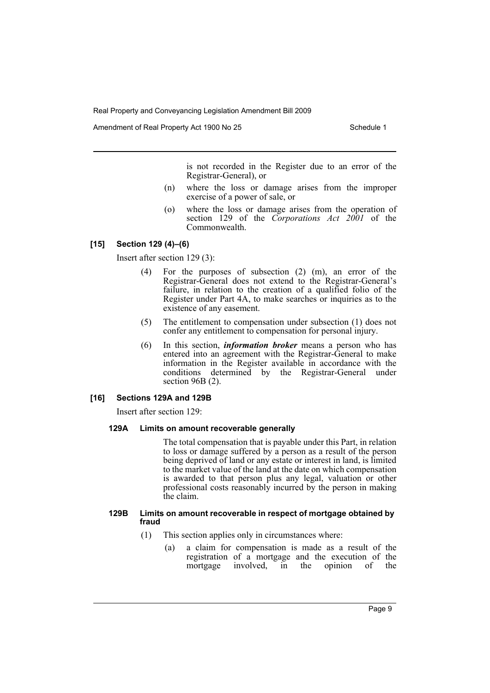Amendment of Real Property Act 1900 No 25 Schedule 1

is not recorded in the Register due to an error of the Registrar-General), or

- (n) where the loss or damage arises from the improper exercise of a power of sale, or
- (o) where the loss or damage arises from the operation of section 129 of the *Corporations Act 2001* of the Commonwealth.

# **[15] Section 129 (4)–(6)**

Insert after section 129 (3):

- (4) For the purposes of subsection (2) (m), an error of the Registrar-General does not extend to the Registrar-General's failure, in relation to the creation of a qualified folio of the Register under Part 4A, to make searches or inquiries as to the existence of any easement.
- (5) The entitlement to compensation under subsection (1) does not confer any entitlement to compensation for personal injury.
- (6) In this section, *information broker* means a person who has entered into an agreement with the Registrar-General to make information in the Register available in accordance with the conditions determined by the Registrar-General under section 96B (2).

#### **[16] Sections 129A and 129B**

Insert after section 129:

#### **129A Limits on amount recoverable generally**

The total compensation that is payable under this Part, in relation to loss or damage suffered by a person as a result of the person being deprived of land or any estate or interest in land, is limited to the market value of the land at the date on which compensation is awarded to that person plus any legal, valuation or other professional costs reasonably incurred by the person in making the claim.

#### **129B Limits on amount recoverable in respect of mortgage obtained by fraud**

- (1) This section applies only in circumstances where:
	- (a) a claim for compensation is made as a result of the registration of a mortgage and the execution of the mortgage involved, in the opinion of the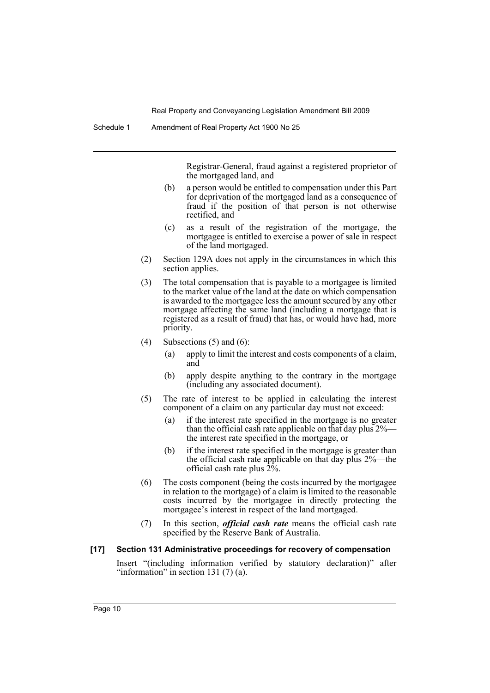Registrar-General, fraud against a registered proprietor of the mortgaged land, and

- (b) a person would be entitled to compensation under this Part for deprivation of the mortgaged land as a consequence of fraud if the position of that person is not otherwise rectified, and
- (c) as a result of the registration of the mortgage, the mortgagee is entitled to exercise a power of sale in respect of the land mortgaged.
- (2) Section 129A does not apply in the circumstances in which this section applies.
- (3) The total compensation that is payable to a mortgagee is limited to the market value of the land at the date on which compensation is awarded to the mortgagee less the amount secured by any other mortgage affecting the same land (including a mortgage that is registered as a result of fraud) that has, or would have had, more priority.
- (4) Subsections  $(5)$  and  $(6)$ :
	- (a) apply to limit the interest and costs components of a claim, and
	- (b) apply despite anything to the contrary in the mortgage (including any associated document).
- (5) The rate of interest to be applied in calculating the interest component of a claim on any particular day must not exceed:
	- (a) if the interest rate specified in the mortgage is no greater than the official cash rate applicable on that day plus 2% the interest rate specified in the mortgage, or
	- (b) if the interest rate specified in the mortgage is greater than the official cash rate applicable on that day plus 2%—the official cash rate plus  $2\%$ .
- (6) The costs component (being the costs incurred by the mortgagee in relation to the mortgage) of a claim is limited to the reasonable costs incurred by the mortgagee in directly protecting the mortgagee's interest in respect of the land mortgaged.
- (7) In this section, *official cash rate* means the official cash rate specified by the Reserve Bank of Australia.
- **[17] Section 131 Administrative proceedings for recovery of compensation**

Insert "(including information verified by statutory declaration)" after "information" in section 131 $(7)$  $(a)$ .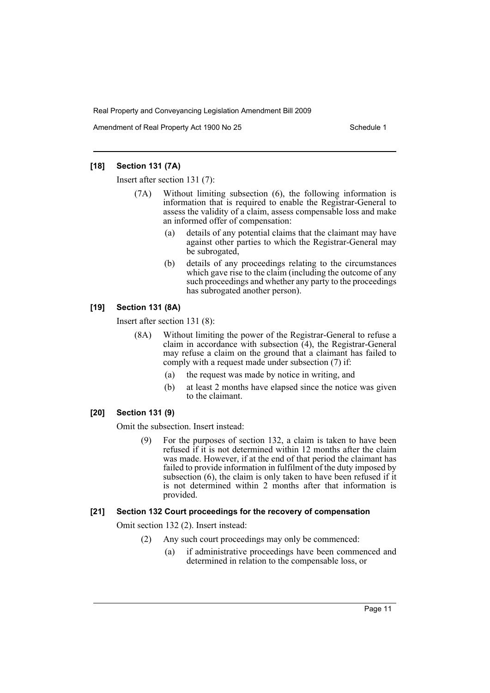Amendment of Real Property Act 1900 No 25 Schedule 1

## **[18] Section 131 (7A)**

Insert after section 131 (7):

- (7A) Without limiting subsection (6), the following information is information that is required to enable the Registrar-General to assess the validity of a claim, assess compensable loss and make an informed offer of compensation:
	- (a) details of any potential claims that the claimant may have against other parties to which the Registrar-General may be subrogated,
	- (b) details of any proceedings relating to the circumstances which gave rise to the claim (including the outcome of any such proceedings and whether any party to the proceedings has subrogated another person).

# **[19] Section 131 (8A)**

Insert after section 131 (8):

- (8A) Without limiting the power of the Registrar-General to refuse a claim in accordance with subsection (4), the Registrar-General may refuse a claim on the ground that a claimant has failed to comply with a request made under subsection (7) if:
	- (a) the request was made by notice in writing, and
	- (b) at least 2 months have elapsed since the notice was given to the claimant.

# **[20] Section 131 (9)**

Omit the subsection. Insert instead:

(9) For the purposes of section 132, a claim is taken to have been refused if it is not determined within 12 months after the claim was made. However, if at the end of that period the claimant has failed to provide information in fulfilment of the duty imposed by subsection (6), the claim is only taken to have been refused if it is not determined within 2 months after that information is provided.

# **[21] Section 132 Court proceedings for the recovery of compensation**

Omit section 132 (2). Insert instead:

- (2) Any such court proceedings may only be commenced:
	- (a) if administrative proceedings have been commenced and determined in relation to the compensable loss, or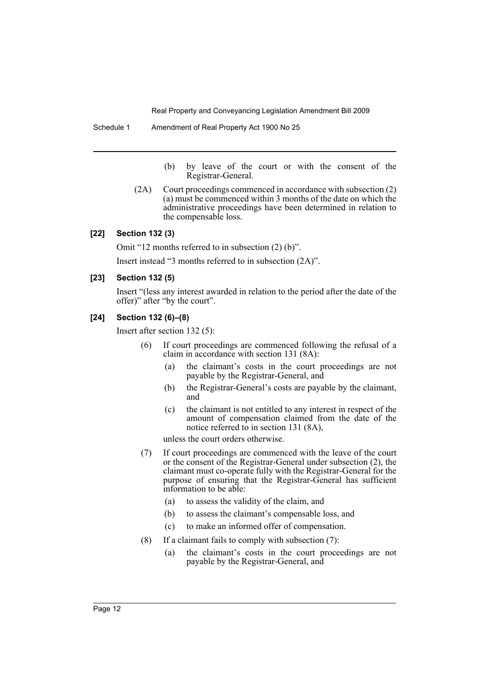Schedule 1 Amendment of Real Property Act 1900 No 25

(b) by leave of the court or with the consent of the Registrar-General.

(2A) Court proceedings commenced in accordance with subsection (2) (a) must be commenced within 3 months of the date on which the administrative proceedings have been determined in relation to the compensable loss.

## **[22] Section 132 (3)**

Omit "12 months referred to in subsection (2) (b)".

Insert instead "3 months referred to in subsection (2A)".

#### **[23] Section 132 (5)**

Insert "(less any interest awarded in relation to the period after the date of the offer)" after "by the court".

## **[24] Section 132 (6)–(8)**

Insert after section 132 (5):

- (6) If court proceedings are commenced following the refusal of a claim in accordance with section 131 (8A):
	- (a) the claimant's costs in the court proceedings are not payable by the Registrar-General, and
	- (b) the Registrar-General's costs are payable by the claimant, and
	- (c) the claimant is not entitled to any interest in respect of the amount of compensation claimed from the date of the notice referred to in section 131 (8A),

unless the court orders otherwise.

- (7) If court proceedings are commenced with the leave of the court or the consent of the Registrar-General under subsection (2), the claimant must co-operate fully with the Registrar-General for the purpose of ensuring that the Registrar-General has sufficient information to be able:
	- (a) to assess the validity of the claim, and
	- (b) to assess the claimant's compensable loss, and
	- (c) to make an informed offer of compensation.
- (8) If a claimant fails to comply with subsection (7):
	- (a) the claimant's costs in the court proceedings are not payable by the Registrar-General, and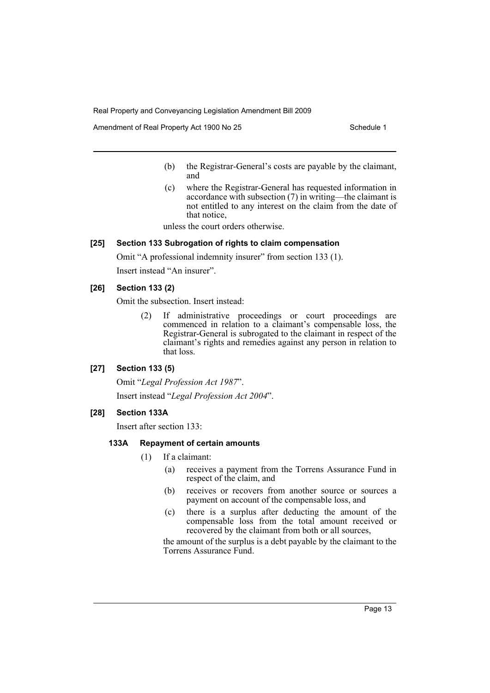Amendment of Real Property Act 1900 No 25 Schedule 1

- (b) the Registrar-General's costs are payable by the claimant, and
- (c) where the Registrar-General has requested information in accordance with subsection (7) in writing—the claimant is not entitled to any interest on the claim from the date of that notice,

unless the court orders otherwise.

# **[25] Section 133 Subrogation of rights to claim compensation**

Omit "A professional indemnity insurer" from section 133 (1).

Insert instead "An insurer".

## **[26] Section 133 (2)**

Omit the subsection. Insert instead:

(2) If administrative proceedings or court proceedings are commenced in relation to a claimant's compensable loss, the Registrar-General is subrogated to the claimant in respect of the claimant's rights and remedies against any person in relation to that loss.

#### **[27] Section 133 (5)**

Omit "*Legal Profession Act 1987*". Insert instead "*Legal Profession Act 2004*".

#### **[28] Section 133A**

Insert after section 133:

#### **133A Repayment of certain amounts**

- (1) If a claimant:
	- (a) receives a payment from the Torrens Assurance Fund in respect of the claim, and
	- (b) receives or recovers from another source or sources a payment on account of the compensable loss, and
	- (c) there is a surplus after deducting the amount of the compensable loss from the total amount received or recovered by the claimant from both or all sources,

the amount of the surplus is a debt payable by the claimant to the Torrens Assurance Fund.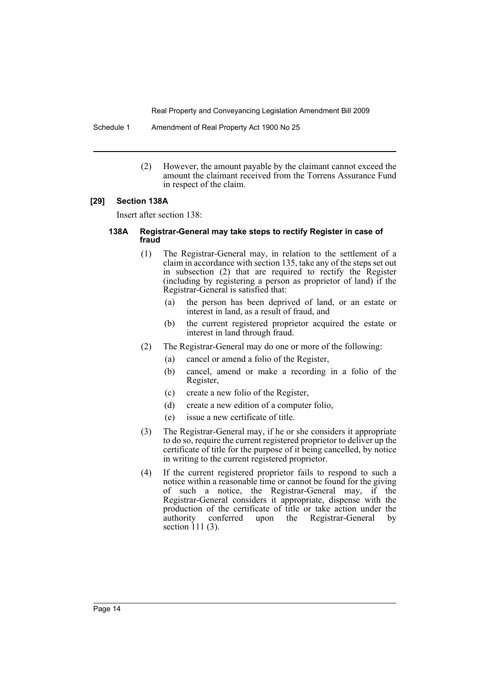Schedule 1 Amendment of Real Property Act 1900 No 25

(2) However, the amount payable by the claimant cannot exceed the amount the claimant received from the Torrens Assurance Fund in respect of the claim.

#### **[29] Section 138A**

Insert after section 138:

#### **138A Registrar-General may take steps to rectify Register in case of fraud**

- (1) The Registrar-General may, in relation to the settlement of a claim in accordance with section 135, take any of the steps set out in subsection (2) that are required to rectify the Register (including by registering a person as proprietor of land) if the Registrar-General is satisfied that:
	- (a) the person has been deprived of land, or an estate or interest in land, as a result of fraud, and
	- (b) the current registered proprietor acquired the estate or interest in land through fraud.
- (2) The Registrar-General may do one or more of the following:
	- (a) cancel or amend a folio of the Register,
	- (b) cancel, amend or make a recording in a folio of the Register,
	- (c) create a new folio of the Register,
	- (d) create a new edition of a computer folio,
	- (e) issue a new certificate of title.
- (3) The Registrar-General may, if he or she considers it appropriate to do so, require the current registered proprietor to deliver up the certificate of title for the purpose of it being cancelled, by notice in writing to the current registered proprietor.
- (4) If the current registered proprietor fails to respond to such a notice within a reasonable time or cannot be found for the giving of such a notice, the Registrar-General may, if the Registrar-General considers it appropriate, dispense with the production of the certificate of title or take action under the authority conferred upon the Registrar-General by conferred upon the Registrar-General by section 111 (3).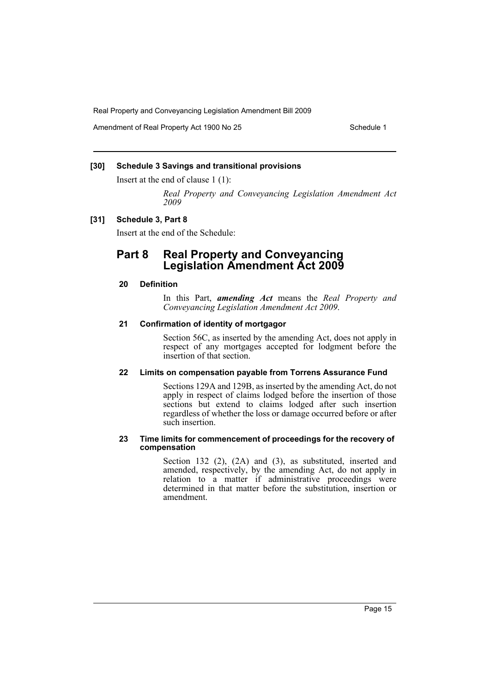Amendment of Real Property Act 1900 No 25 Schedule 1

## **[30] Schedule 3 Savings and transitional provisions**

Insert at the end of clause 1 (1):

*Real Property and Conveyancing Legislation Amendment Act 2009*

#### **[31] Schedule 3, Part 8**

Insert at the end of the Schedule:

# **Part 8 Real Property and Conveyancing Legislation Amendment Act 2009**

# **20 Definition**

In this Part, *amending Act* means the *Real Property and Conveyancing Legislation Amendment Act 2009*.

## **21 Confirmation of identity of mortgagor**

Section 56C, as inserted by the amending Act, does not apply in respect of any mortgages accepted for lodgment before the insertion of that section.

#### **22 Limits on compensation payable from Torrens Assurance Fund**

Sections 129A and 129B, as inserted by the amending Act, do not apply in respect of claims lodged before the insertion of those sections but extend to claims lodged after such insertion regardless of whether the loss or damage occurred before or after such insertion.

#### **23 Time limits for commencement of proceedings for the recovery of compensation**

Section 132 (2), (2A) and (3), as substituted, inserted and amended, respectively, by the amending Act, do not apply in relation to a matter if administrative proceedings were determined in that matter before the substitution, insertion or amendment.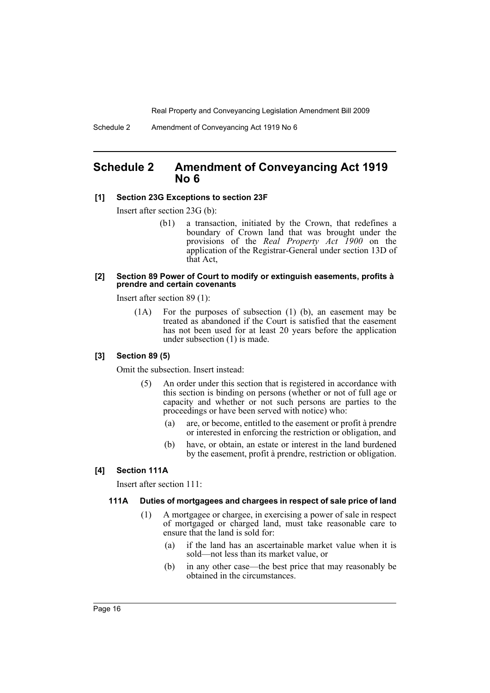# <span id="page-16-0"></span>**Schedule 2 Amendment of Conveyancing Act 1919 No 6**

#### **[1] Section 23G Exceptions to section 23F**

Insert after section 23G (b):

(b1) a transaction, initiated by the Crown, that redefines a boundary of Crown land that was brought under the provisions of the *Real Property Act 1900* on the application of the Registrar-General under section 13D of that Act,

#### **[2] Section 89 Power of Court to modify or extinguish easements, profits à prendre and certain covenants**

Insert after section 89 (1):

(1A) For the purposes of subsection (1) (b), an easement may be treated as abandoned if the Court is satisfied that the easement has not been used for at least 20 years before the application under subsection (1) is made.

#### **[3] Section 89 (5)**

Omit the subsection. Insert instead:

- (5) An order under this section that is registered in accordance with this section is binding on persons (whether or not of full age or capacity and whether or not such persons are parties to the proceedings or have been served with notice) who:
	- (a) are, or become, entitled to the easement or profit à prendre or interested in enforcing the restriction or obligation, and
	- (b) have, or obtain, an estate or interest in the land burdened by the easement, profit à prendre, restriction or obligation.

#### **[4] Section 111A**

Insert after section 111:

#### **111A Duties of mortgagees and chargees in respect of sale price of land**

- (1) A mortgagee or chargee, in exercising a power of sale in respect of mortgaged or charged land, must take reasonable care to ensure that the land is sold for:
	- (a) if the land has an ascertainable market value when it is sold—not less than its market value, or
	- (b) in any other case—the best price that may reasonably be obtained in the circumstances.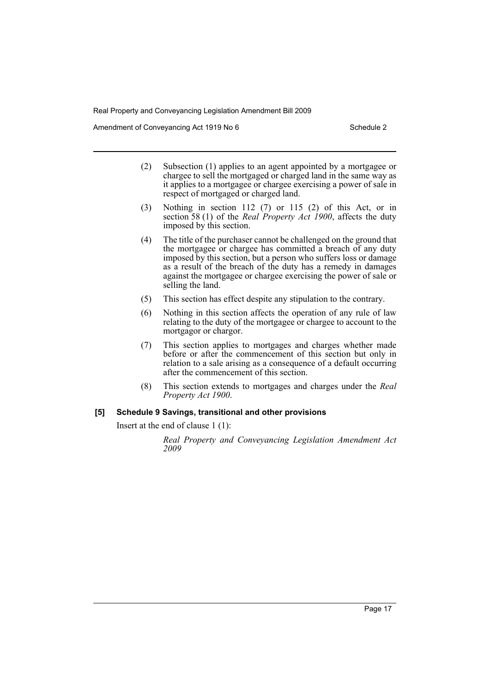Amendment of Conveyancing Act 1919 No 6 Schedule 2 Schedule 2

- (2) Subsection (1) applies to an agent appointed by a mortgagee or chargee to sell the mortgaged or charged land in the same way as it applies to a mortgagee or chargee exercising a power of sale in respect of mortgaged or charged land.
- (3) Nothing in section 112 (7) or 115 (2) of this Act, or in section 58 (1) of the *Real Property Act 1900*, affects the duty imposed by this section.
- (4) The title of the purchaser cannot be challenged on the ground that the mortgagee or chargee has committed a breach of any duty imposed by this section, but a person who suffers loss or damage as a result of the breach of the duty has a remedy in damages against the mortgagee or chargee exercising the power of sale or selling the land.
- (5) This section has effect despite any stipulation to the contrary.
- (6) Nothing in this section affects the operation of any rule of law relating to the duty of the mortgagee or chargee to account to the mortgagor or chargor.
- (7) This section applies to mortgages and charges whether made before or after the commencement of this section but only in relation to a sale arising as a consequence of a default occurring after the commencement of this section.
- (8) This section extends to mortgages and charges under the *Real Property Act 1900*.

# **[5] Schedule 9 Savings, transitional and other provisions**

Insert at the end of clause 1 (1):

*Real Property and Conveyancing Legislation Amendment Act 2009*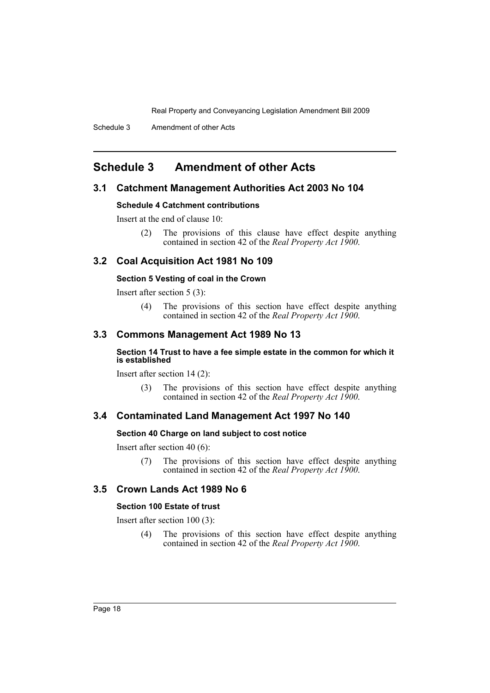Schedule 3 Amendment of other Acts

# <span id="page-18-0"></span>**Schedule 3 Amendment of other Acts**

# **3.1 Catchment Management Authorities Act 2003 No 104**

#### **Schedule 4 Catchment contributions**

Insert at the end of clause 10:

(2) The provisions of this clause have effect despite anything contained in section 42 of the *Real Property Act 1900*.

## **3.2 Coal Acquisition Act 1981 No 109**

## **Section 5 Vesting of coal in the Crown**

Insert after section 5 (3):

(4) The provisions of this section have effect despite anything contained in section 42 of the *Real Property Act 1900*.

# **3.3 Commons Management Act 1989 No 13**

#### **Section 14 Trust to have a fee simple estate in the common for which it is established**

Insert after section 14 (2):

(3) The provisions of this section have effect despite anything contained in section 42 of the *Real Property Act 1900*.

#### **3.4 Contaminated Land Management Act 1997 No 140**

#### **Section 40 Charge on land subject to cost notice**

Insert after section 40 (6):

(7) The provisions of this section have effect despite anything contained in section 42 of the *Real Property Act 1900*.

# **3.5 Crown Lands Act 1989 No 6**

#### **Section 100 Estate of trust**

Insert after section 100 (3):

(4) The provisions of this section have effect despite anything contained in section 42 of the *Real Property Act 1900*.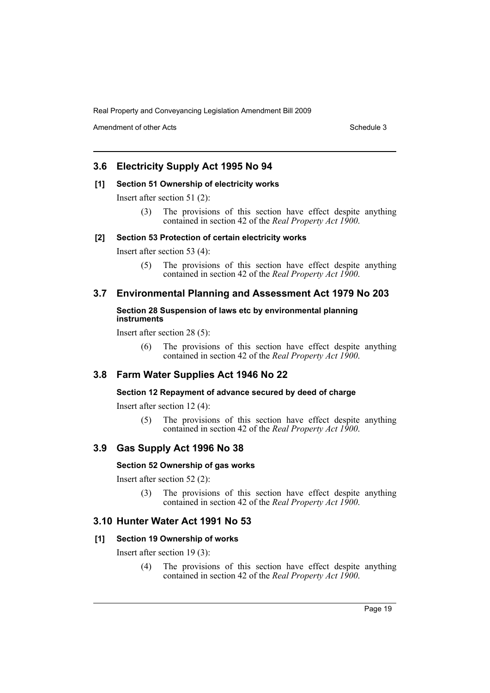Amendment of other Acts **Schedule 3** and the 3 set of the 3 set of the 3 set of the 3 set of the 3 set of the 3 set of the 3 set of the 3 set of the 3 set of the 3 set of the 3 set of the 3 set of the 3 set of the 3 set of

# **3.6 Electricity Supply Act 1995 No 94**

## **[1] Section 51 Ownership of electricity works**

Insert after section 51 (2):

(3) The provisions of this section have effect despite anything contained in section 42 of the *Real Property Act 1900*.

#### **[2] Section 53 Protection of certain electricity works**

Insert after section 53 (4):

(5) The provisions of this section have effect despite anything contained in section 42 of the *Real Property Act 1900*.

# **3.7 Environmental Planning and Assessment Act 1979 No 203**

### **Section 28 Suspension of laws etc by environmental planning instruments**

Insert after section 28 (5):

(6) The provisions of this section have effect despite anything contained in section 42 of the *Real Property Act 1900*.

# **3.8 Farm Water Supplies Act 1946 No 22**

#### **Section 12 Repayment of advance secured by deed of charge**

Insert after section 12 (4):

(5) The provisions of this section have effect despite anything contained in section 42 of the *Real Property Act 1900*.

#### **3.9 Gas Supply Act 1996 No 38**

# **Section 52 Ownership of gas works**

Insert after section 52 (2):

(3) The provisions of this section have effect despite anything contained in section 42 of the *Real Property Act 1900*.

# **3.10 Hunter Water Act 1991 No 53**

#### **[1] Section 19 Ownership of works**

Insert after section 19 (3):

(4) The provisions of this section have effect despite anything contained in section 42 of the *Real Property Act 1900*.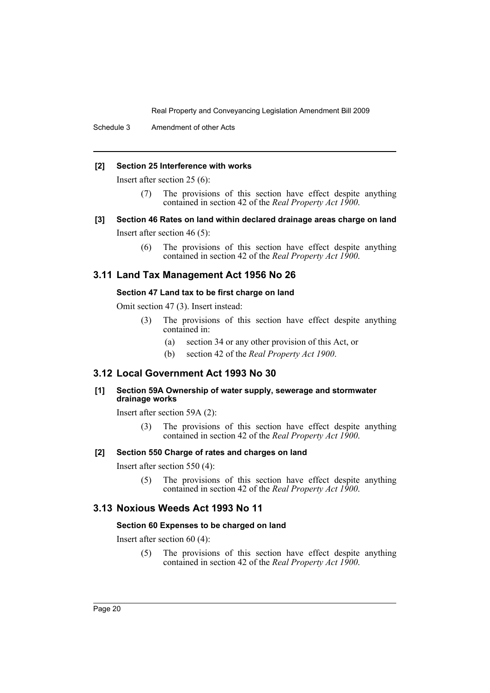Schedule 3 Amendment of other Acts

#### **[2] Section 25 Interference with works**

Insert after section 25 (6):

- (7) The provisions of this section have effect despite anything contained in section 42 of the *Real Property Act 1900*.
- **[3] Section 46 Rates on land within declared drainage areas charge on land**

Insert after section 46 (5):

(6) The provisions of this section have effect despite anything contained in section 42 of the *Real Property Act 1900*.

# **3.11 Land Tax Management Act 1956 No 26**

#### **Section 47 Land tax to be first charge on land**

Omit section 47 (3). Insert instead:

- (3) The provisions of this section have effect despite anything contained in:
	- (a) section 34 or any other provision of this Act, or
	- (b) section 42 of the *Real Property Act 1900*.

# **3.12 Local Government Act 1993 No 30**

**[1] Section 59A Ownership of water supply, sewerage and stormwater drainage works**

Insert after section 59A (2):

(3) The provisions of this section have effect despite anything contained in section 42 of the *Real Property Act 1900*.

# **[2] Section 550 Charge of rates and charges on land**

Insert after section 550 (4):

(5) The provisions of this section have effect despite anything contained in section 42 of the *Real Property Act 1900*.

# **3.13 Noxious Weeds Act 1993 No 11**

#### **Section 60 Expenses to be charged on land**

Insert after section 60 (4):

(5) The provisions of this section have effect despite anything contained in section 42 of the *Real Property Act 1900*.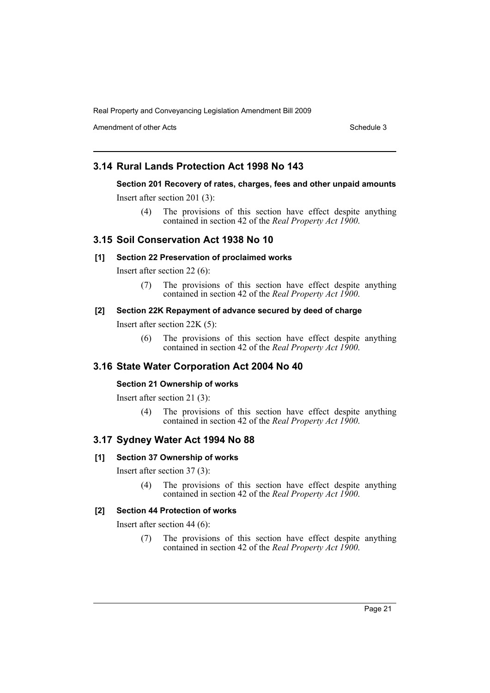Amendment of other Acts **Schedule 3** and the 3 set of the 3 set of the 3 set of the 3 set of the 3 set of the 3 set of the 3 set of the 3 set of the 3 set of the 3 set of the 3 set of the 3 set of the 3 set of the 3 set of

# **3.14 Rural Lands Protection Act 1998 No 143**

# **Section 201 Recovery of rates, charges, fees and other unpaid amounts**

Insert after section 201 (3):

(4) The provisions of this section have effect despite anything contained in section 42 of the *Real Property Act 1900*.

# **3.15 Soil Conservation Act 1938 No 10**

# **[1] Section 22 Preservation of proclaimed works**

Insert after section 22 (6):

(7) The provisions of this section have effect despite anything contained in section 42 of the *Real Property Act 1900*.

# **[2] Section 22K Repayment of advance secured by deed of charge**

Insert after section 22K (5):

(6) The provisions of this section have effect despite anything contained in section 42 of the *Real Property Act 1900*.

# **3.16 State Water Corporation Act 2004 No 40**

## **Section 21 Ownership of works**

Insert after section 21 (3):

(4) The provisions of this section have effect despite anything contained in section 42 of the *Real Property Act 1900*.

# **3.17 Sydney Water Act 1994 No 88**

#### **[1] Section 37 Ownership of works**

Insert after section 37 (3):

(4) The provisions of this section have effect despite anything contained in section 42 of the *Real Property Act 1900*.

#### **[2] Section 44 Protection of works**

Insert after section 44 (6):

(7) The provisions of this section have effect despite anything contained in section 42 of the *Real Property Act 1900*.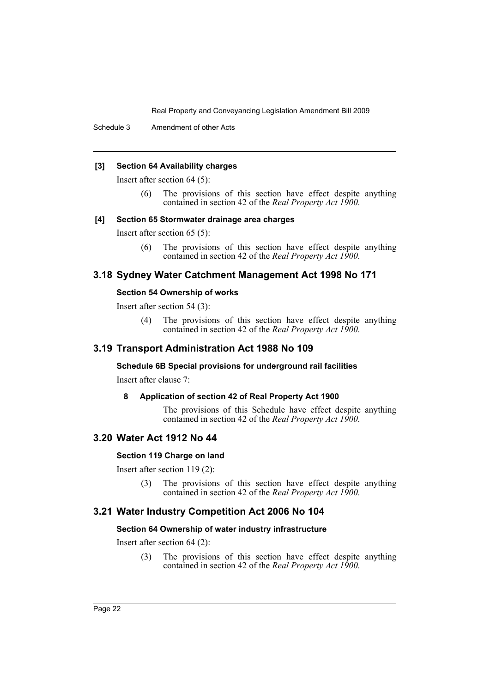Schedule 3 Amendment of other Acts

#### **[3] Section 64 Availability charges**

Insert after section 64 (5):

(6) The provisions of this section have effect despite anything contained in section 42 of the *Real Property Act 1900*.

#### **[4] Section 65 Stormwater drainage area charges**

Insert after section 65 (5):

(6) The provisions of this section have effect despite anything contained in section 42 of the *Real Property Act 1900*.

# **3.18 Sydney Water Catchment Management Act 1998 No 171**

#### **Section 54 Ownership of works**

Insert after section 54 (3):

(4) The provisions of this section have effect despite anything contained in section 42 of the *Real Property Act 1900*.

# **3.19 Transport Administration Act 1988 No 109**

**Schedule 6B Special provisions for underground rail facilities**

Insert after clause 7:

#### **8 Application of section 42 of Real Property Act 1900**

The provisions of this Schedule have effect despite anything contained in section 42 of the *Real Property Act 1900*.

# **3.20 Water Act 1912 No 44**

### **Section 119 Charge on land**

Insert after section 119 (2):

(3) The provisions of this section have effect despite anything contained in section 42 of the *Real Property Act 1900*.

# **3.21 Water Industry Competition Act 2006 No 104**

#### **Section 64 Ownership of water industry infrastructure**

Insert after section 64 (2):

(3) The provisions of this section have effect despite anything contained in section 42 of the *Real Property Act 1900*.